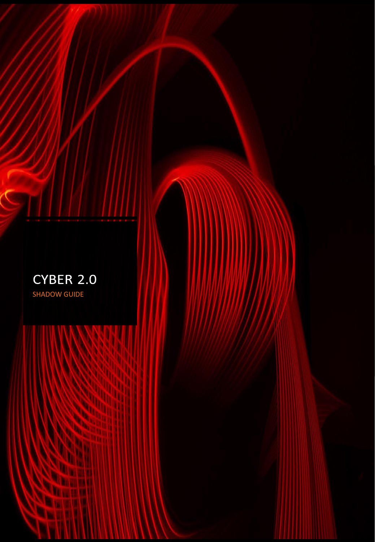

S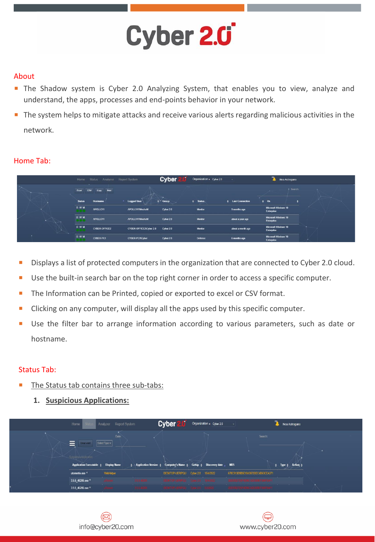### About

- **The Shadow system is Cyber 2.0 Analyzing System, that enables you to view, analyze and** understand, the apps, processes and end-points behavior in your network.
- The system helps to mitigate attacks and receive various alerts regarding malicious activities in the network.

### Home Tab:

|   | Home          | Analyzer Report System<br><b>Status</b> |                         | <b>Cyber</b> | Organization x Cyber 2.0 | $\sim$                 | 785<br>Noa Astrogano                      |        |
|---|---------------|-----------------------------------------|-------------------------|--------------|--------------------------|------------------------|-------------------------------------------|--------|
|   | Excel<br>csv  | Print<br>Copy                           |                         | $\sim$       |                          |                        | + Search:                                 |        |
|   | <b>Status</b> | Hostname                                | <b>Logged User</b>      | $\div$ Group | <b><i>¢</i></b> Status   | <b>Last Connection</b> | O <sub>5</sub>                            |        |
|   | D W M         | APOLLO11                                | APOLLO11WosheM          | Cyber 2.0    | Monitor                  | 9 months ago           | <b>Microsoft Windows 10</b><br>Enterprise | $\sim$ |
| × | <b>DWM</b>    | APOLLO11                                | APOLLO11WosheM          | Cyber 2.0    | Monitor                  | about a year ago       | Microsoft Windows 10<br>Enterprise        |        |
|   | D W M         | <b>CYBER-OFFICE2</b>                    | CYBER-OFFICE2\Cyber 2.0 | Cyber 2.0    | Monitor                  | about a month ago      | Microsoft Windows 10<br>Enterprise        |        |
|   | <b>DWM</b>    | CYBER-PC1                               | <b>CYBER-PC1\Cyber</b>  | Cyber 2.0    | Defense                  | 6 months ago           | <b>Microsoft Windows 10</b><br>Enterprise |        |

- Displays a list of protected computers in the organization that are connected to Cyber 2.0 cloud.
- Use the built-in search bar on the top right corner in order to access a specific computer.
- The Information can be Printed, copied or exported to excel or CSV format.
- Clicking on any computer, will display all the apps used by this specific computer.
- Use the filter bar to arrange information according to various parameters, such as date or hostname.

### Status Tab:

- The Status tab contains three sub-tabs:
	- **1. Suspicious Applications:**

| Home                                                                                                                                                                                 | Analyzer Report System |           | <b>Cyber</b>                        | Organization x Cyber 2.0 |                                    | Noa Astrogano                                                                                                   |  |
|--------------------------------------------------------------------------------------------------------------------------------------------------------------------------------------|------------------------|-----------|-------------------------------------|--------------------------|------------------------------------|-----------------------------------------------------------------------------------------------------------------|--|
| Email Alert<br>=                                                                                                                                                                     | Date:<br>Select Type - |           |                                     |                          | Search:                            |                                                                                                                 |  |
| Suspicious Apolication                                                                                                                                                               |                        |           |                                     |                          |                                    |                                                                                                                 |  |
| Application Executable $\frac{1}{2}$ Display Name $\frac{1}{2}$ Application Version $\frac{1}{2}$ Computer's Name $\frac{1}{2}$ Group $\frac{1}{2}$ Discovery date $\frac{1}{2}$ MD5 |                        |           |                                     |                          |                                    | $\div$ Type $\div$ Action $\div$                                                                                |  |
| utorrentie.exe 4                                                                                                                                                                     | WebHelper              |           | DESKTOP-UERIPQU Cyber 2.0 15/4/2022 |                          | 678C913D9B5E1043873DEC4B63CEA371   |                                                                                                                 |  |
| 3.5.5 46206.exe 11                                                                                                                                                                   | <b>USINE</b>           |           |                                     |                          | <b>FERINA TOST AT HIS CASE NOT</b> | the contract of the contract of the contract of the contract of the contract of the contract of the contract of |  |
| 3.5.5 46206.exe 11                                                                                                                                                                   | <b><i>Channel</i></b>  | 1855 4786 | - 日本海の日本の新来社の日本 - 日本語の発表 - 1        |                          |                                    | the contract of the contract of the con-                                                                        |  |



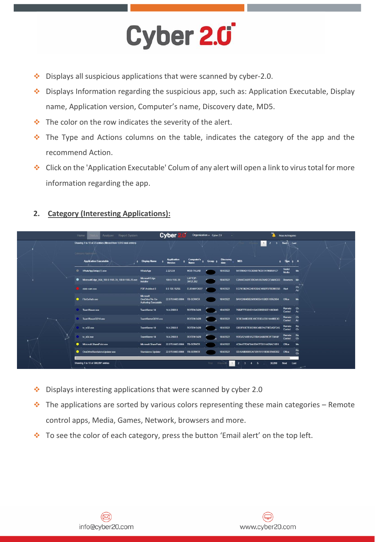- ❖ Displays all suspicious applications that were scanned by cyber-2.0.
- ❖ Displays Information regarding the suspicious app, such as: Application Executable, Display name, Application version, Computer's name, Discovery date, MD5.
- ❖ The color on the row indicates the severity of the alert.
- ❖ The Type and Actions columns on the table, indicates the category of the app and the recommend Action.
- ❖ Click on the 'Application Executable' Colum of any alert will open a link to virus total for more information regarding the app.

# **2. Category (Interesting Applications):**

|  | Analyzer Report System<br>Home                                                          |                                                       | <b>Cyber</b>                  | Organization x Cyber 2.0 |              | $\sim$           |                                                                                      | Noa Astrogano        |                  |
|--|-----------------------------------------------------------------------------------------|-------------------------------------------------------|-------------------------------|--------------------------|--------------|------------------|--------------------------------------------------------------------------------------|----------------------|------------------|
|  | Showing 1 to 10 of 23 entries (filtered from 1,816 total entries)<br>Catargory Applicat |                                                       |                               |                          |              |                  | 1                                                                                    | 3 Next Last          |                  |
|  | <b>Application Executable</b>                                                           | <b>Display Name</b>                                   | <b>Application</b><br>Version | Computer's<br>Name       | <b>Group</b> | <b>Discovery</b> | MD5                                                                                  | Type $\div$ A        |                  |
|  | WhatsAppSetup (1).exe                                                                   | WhatsApp                                              | 2 2 2 1 2.8                   | MOB-TALIAB               |              | 18/4/2022        | 9A70984D115C0D6079C81741968591CF                                                     | Social<br>Media      | Me               |
|  | ٠<br>MicrosoftEdge_X64_100.0.1185.39_100.0.1185.29.exe                                  | <b>Microsoft Edge</b><br><b>Installer</b>             | 100.0.1185.39                 | LAPTOP-<br>3H12L352      |              | 18/4/2022        | C3A047243FF2DCAA10674AEC7344AC6D                                                     | Browsers Me          |                  |
|  | stats-com.exe                                                                           | PDF Architect 8                                       | 8.0.130.15255                 | <b>ELIRANYOSEF</b>       |              | 18/4/2022        | EC79E9024C24B1D3AE4692FB7BD9BE5B Alert                                               |                      | نسجا<br>Ch<br>Ac |
|  | FileCoAuth.exe                                                                          | Microsoft<br>OneDriveFile Co-<br>Authoring Executable | 22.070.0403.0004 TB-SERVER    |                          |              | 18/4/2022        | BA1C2684BB256936B5A15DD518952604                                                     | Office               | Me               |
|  | TeamViewer.exe                                                                          | TeamViewer 14                                         | 14.4.2669.0                   | <b>ROTEM-5420</b>        |              | 18/4/2022        | 76B2F770381D110ACDB5B56E11863849                                                     | Remote Ch<br>Control | Ac               |
|  | TeamViewerQS14.exe                                                                      | TeamViewerQS14.exe                                    |                               | <b>ROTEM-5420</b>        |              | 18/4/2022        | 3E3EB448D2BE49C7E6EA33514448BE43                                                     | Remote<br>Control    | Ch<br>Ac         |
|  | tv $w32$ exe                                                                            | TeamViewer 14                                         | 14.4.2669.0                   | <b>ROTEM-5420</b>        |              | 18/4/2022        | C833F80E7E06D99C48D7A579EDADF245                                                     | Remote<br>Control    | Re<br>Ch         |
|  | $tv x64. exo$                                                                           | TeamViewer 14                                         | 14.4.2669.0                   | <b>ROTEM-5420</b>        |              | 18/4/2022        | 959DA2149B1A27BDA1A66B9E2F724A8F                                                     | Remote Re<br>Control | Ch               |
|  | Microsoft.SharePoint.exe                                                                | Microsoft SharePoint                                  | 22.070.0403.0004              | <b>TB-SERVER</b>         |              | 18/4/2022        | 4C0A477DAF0443DA7FE8114476AC1091                                                     | Office               | M                |
|  | OneDriveStandaloneUpdater.exe                                                           | <b>Standalone Updater</b>                             | 22.070.0403.0004 TB-SERVER    |                          |              | 18/4/2022        | CE45A0D60BCA738978151808EB948DD2                                                     | Office               | Re<br>Ch         |
|  | Showing 1 to 10 of 308,897 entries<br>- 1                                               |                                                       |                               |                          | First:       | Previous         | $\overline{\mathbf{3}}$<br>30,890<br>$\overline{\phantom{a}}$<br>- 5<br>$\mathbf{A}$ | Next<br>Last         | $\mathbf{r}$     |

- ❖ Displays interesting applications that were scanned by cyber 2.0
- $\cdot \cdot$  The applications are sorted by various colors representing these main categories Remote control apps, Media, Games, Network, browsers and more.
- ❖ To see the color of each category, press the button 'Email alert' on the top left.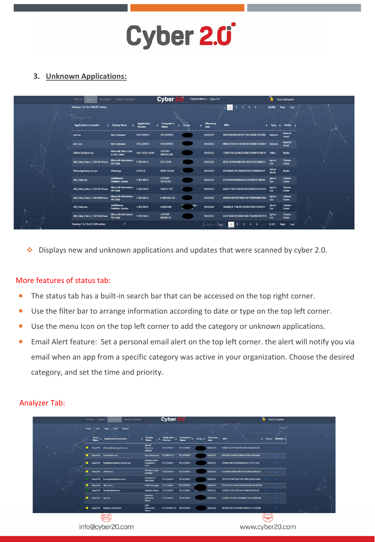## **3. Unknown Applications:**

|  | Home<br>Analyzer                                                   | <b>Report System</b>                           |                                      | <b>Cyber</b>               |              | Organization x Cyber 2.0 |                                                 |                 | Noa Astrogano           |
|--|--------------------------------------------------------------------|------------------------------------------------|--------------------------------------|----------------------------|--------------|--------------------------|-------------------------------------------------|-----------------|-------------------------|
|  | Showing 1 to 10 of 308,897 entries<br><b>Linkitown Application</b> |                                                |                                      |                            |              |                          | 12<br>$\overline{\mathbf{3}}$<br>4 <sub>5</sub> | 30,890          | Next Last               |
|  | <b>Application Executable</b>                                      | <b>Display Name</b>                            | <b>Application</b><br><b>Version</b> | Computer's<br><b>Name</b>  | <b>Group</b> | <b>Discovery</b><br>date | MD5                                             | Type            | <b>Action</b>           |
|  | net exe                                                            | <b>Net Command</b>                             | 10.0.22598.1                         | <b>TB-SERVER</b>           |              | 18/4/2022                | 984FB3D362F6E91FF29CA87BE7361986                | Network         | Network<br>check        |
|  | net1.exe                                                           | <b>Net Command</b>                             | 10.0.22598.1                         | <b>TB-SERVER</b>           |              | 18/4/2022                | BBB12714A2F24E7601D70CB4E1D264D1 Network        |                 | Network<br>check        |
|  | OfficeC2RClient.exe                                                | Microsoft Office Click<br>to-Run Client        | 16.0.14326.20900                     | LAPTOP-<br><b>HKPQ7GJN</b> |              | 18/4/2022                | 7D3627A5C8A96232DBE2E455F5C04F31                | Office          | Media                   |
|  | AM Delta Patch 1.363.541.0.exe                                     | Microsoft Antimalware<br><b>WU Stub</b>        | 1.363.567.0                          | DTC-ZURI                   |              | 18/4/2022                | 8E6C107066468B3DE3921C76E56963C4                | Ignore<br>List  | Choose<br><b>Action</b> |
|  | WhatsAppSetup (1).exe                                              | <b>WhatsApp</b>                                | 2 2 2 1 2 8                          | <b>MOB-TALIAB</b>          |              | 18/4/2022                | 9A70984D115C0D6079C81741968591CF                | Social<br>Media | Media                   |
|  | AM Delta exe                                                       | AntiMalware<br><b>Definition Update</b>        | 1.363.466.0                          | LAPTOP-<br>3H12L352        |              | 18/4/2022                | D17F05E8F882836A3123760DF5748B48                | Ignore<br>List  | Choose<br><b>Action</b> |
|  | AM Delta Patch 1.363.541.0.exe                                     | <b>Microsoft Antimalware</b><br><b>WU Stub</b> | 1.363.564.0                          | YAGEV-TK2                  |              | 18/4/2022                | 6AAFFF5611235D85307D9B1B552EA7ED                | Ignore<br>List  | Choose<br><b>Action</b> |
|  | AM_Delta_Patch_1.363.509.0.exe                                     | <b>Microsoft Antimalware</b><br><b>WU Stub</b> | 1.363.564.0                          | K-MICHAL732                |              | 18/4/2022                | 6E9B3045F29776BDC8F73DB7040B73B2                | Ignore<br>List  | Choose<br><b>Action</b> |
|  | AM Delta.exe                                                       | AntiMalware<br><b>Definition Update</b>        | 1.363.564.0                          | <b>LIORHAIM</b>            | a.           | 18/4/2022                | 36D66E2F718F287583063C9817C6FA31                | Ignore<br>List  | Choose<br>Action        |
|  | AM Delta Patch 1.363.544.0.exe                                     | <b>Microsoft Antimalware</b><br><b>WU Stub</b> | 1.363.564.0                          | LAPTOP-<br><b>88JH6C4T</b> |              | 18/4/2022                | A3EF4480C0E0A05FA6CC1A496E4617E9                | Ignore<br>List  | Choose<br>Action        |
|  | Showing 1 to 10 of 51,509 entries                                  |                                                |                                      |                            |              | LEnst                    | $\mathbf{3}$<br>17<br>$\boldsymbol{A}$          | 5,151           | Next<br>Last            |

❖ Displays new and unknown applications and updates that were scanned by cyber 2.0.

### More features of status tab:

- The status tab has a built-in search bar that can be accessed on the top right corner.
- Use the filter bar to arrange information according to date or type on the top left corner.
- Use the menu Icon on the top left corner to add the category or unknown applications.
- Email Alert feature:Set a personal email alert on the top left corner. the alert will notify you via email when an app from a specific category was active in your organization. Choose the desired category, and set the time and priority.

### Analyzer Tab:

|                               | Home                  | <b>Status</b><br>Report System<br>Artalyza |                                               | Cyber 2.0                     |                           |         |                          |                                  |            | Noa Astrogano          |  |
|-------------------------------|-----------------------|--------------------------------------------|-----------------------------------------------|-------------------------------|---------------------------|---------|--------------------------|----------------------------------|------------|------------------------|--|
|                               | Expel<br>csv          | <b>Print</b><br>Copy<br>Services           |                                               |                               |                           |         |                          |                                  |            | Soarch:"               |  |
|                               | Server<br><b>Name</b> | <b>Application Executable</b>              | Display<br><b>Name</b>                        | <b>Application</b><br>Version | Computer's<br><b>Name</b> | Group & | <b>Discovery</b><br>date | MD5                              |            | Link & Whitelist       |  |
|                               | Cloud 10              | directedatabaseupdater exe                 | <b>DirectX</b><br><b>Database</b><br>Updater  | 10.0.22598.1                  | <b>TB-SERVER</b>          |         | 18/4/2022                | 516BCC267718446193C883A6B24A5E4E |            |                        |  |
|                               |                       | Cloud 10 SearchHost exe                    | SearchHost exe                                | 522 8807 0.0                  | <b>TB-SERVER</b>          |         | 18/4/2022                | B79C9B4A289522ABB415C85813D04469 |            |                        |  |
|                               |                       | Cloud 10 StartMenuExperienceHost.exe       | Windows Start<br>Experience<br>Hont           | 10 0 22598.1                  | <b>TB-SERVER</b>          |         | 18/4/2022                | 29700AC0017834AB967B65FC72C3105F |            | $\scriptstyle\!\times$ |  |
|                               |                       | Cloud 10 w/mdr.exe                         | Windows logon<br>reminder                     | 10.0.22598.1                  | <b>TB-SERVER</b>          |         | 18/4/2022                | 6CA28D8558B144802C9F2D8E5B40B33A |            |                        |  |
| $\bullet \rightarrow \bullet$ | Cloud 10              | backgroundTaskHost exe-                    | Background<br><b>Task Host</b>                | 10.0.22598.1                  | <b>TB-SERVER</b>          |         | 18/4/2022                | 7B33C1F995C246F33B729BC0A8C06A5D |            | ∾                      |  |
|                               | Cloud 10              | dlhost oxo                                 | <b>COM Surrogate</b>                          | 10.0.22598.1                  | <b>TB-SERVER</b>          |         | 18/4/2022                | FCEC1AFC4403ECC96F801D0A79C3DE99 |            |                        |  |
|                               | Cloud 10              | RuntimeBroker.exe                          | <b>Runtime Broker</b>                         | 10.0.22598.1                  | <b>TB-SERVER</b>          |         | 18/4/2022                | F0FBBF63BFE4013430F0968183580EB7 | <b>Unk</b> |                        |  |
|                               | Cloud 10              | skill exe                                  | <b>Windows</b><br><b>Activation</b><br>Client | 10.0.22598.1                  | <b>TB-SERVER</b>          |         | 18/4/2022                | 5376B216F21B719C8BBAFC62D2DBD01D |            |                        |  |
|                               | $\bullet$             | Cloud 10 SppExtComObj Exe                  | KMS<br>Connection<br><b>Broker</b>            | 10.0.22598.100 TB-SERVER      |                           |         | 18/4/2022                | DFA9FAD4734CED0607AB4A37C33A9246 |            | $\boldsymbol{\times}$  |  |
|                               |                       |                                            |                                               |                               |                           |         |                          |                                  |            |                        |  |
|                               |                       | info@cyber20.com                           |                                               |                               |                           |         |                          | www.cyber20.com                  |            |                        |  |